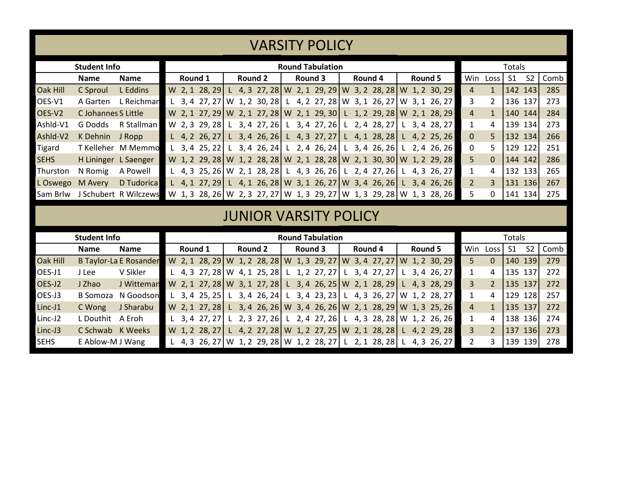|                                                                               |                      |                                | <b>VARSITY POLICY</b> |                         |                                                                               |  |                |  |  |         |                         |  |         |  |  |         |  |                |                |                |                |      |  |
|-------------------------------------------------------------------------------|----------------------|--------------------------------|-----------------------|-------------------------|-------------------------------------------------------------------------------|--|----------------|--|--|---------|-------------------------|--|---------|--|--|---------|--|----------------|----------------|----------------|----------------|------|--|
|                                                                               |                      |                                |                       |                         |                                                                               |  |                |  |  |         |                         |  |         |  |  |         |  |                |                |                |                |      |  |
|                                                                               | <b>Student Info</b>  |                                |                       | <b>Round Tabulation</b> |                                                                               |  |                |  |  |         |                         |  |         |  |  |         |  |                | <b>Totals</b>  |                |                |      |  |
|                                                                               | <b>Name</b>          | <b>Name</b>                    |                       | Round 1                 |                                                                               |  | <b>Round 2</b> |  |  | Round 3 |                         |  | Round 4 |  |  | Round 5 |  | Win            | Loss           | S <sub>1</sub> | S <sub>2</sub> | Comb |  |
| Oak Hill                                                                      | C Sproul             | L Eddins                       |                       |                         | W 2, 1 28, 29 L 4, 3 27, 28 W 2, 1 29, 29 W 3, 2 28, 28 W 1, 2 30, 29         |  |                |  |  |         |                         |  |         |  |  |         |  | $\overline{4}$ | $\mathbf{1}$   | 142 143        |                | 285  |  |
| OES-V1                                                                        | A Garten             | L Reichmar                     |                       |                         | L 3, 4 27, 27   W 1, 2 30, 28   L 4, 2 27, 28   W 3, 1 26, 27   W 3, 1 26, 27 |  |                |  |  |         |                         |  |         |  |  |         |  | 3              | $\overline{2}$ | 136 137        |                | 273  |  |
| OES-V2                                                                        | C Johannes S Little  |                                |                       |                         | W 2, 1 27, 29 W 2, 1 27, 28 W 2, 1 29, 30 L 1, 2 29, 28 W 2, 1 28, 29         |  |                |  |  |         |                         |  |         |  |  |         |  | $\overline{4}$ | $\mathbf{1}$   | 140 144        |                | 284  |  |
| Ashld-V1                                                                      | G Dodds              | R Stallman                     |                       |                         | W 2, 3 29, 28 L 3, 4 27, 26 L 3, 4 27, 26 L 2, 4 28, 27 L 3, 4 28, 27         |  |                |  |  |         |                         |  |         |  |  |         |  | $\mathbf{1}$   | 4              | 139 134        |                | 273  |  |
| Ashld-V2                                                                      | K Dehnin             | J Ropp                         |                       |                         | L 4, 2 26, 27 L 3, 4 26, 26 L 4, 3 27, 27 L 4, 1 28, 28 L 4, 2 25, 26         |  |                |  |  |         |                         |  |         |  |  |         |  | $\Omega$       | 5              | 132 134        |                | 266  |  |
| Tigard                                                                        |                      | T Kelleher M Memmo             |                       |                         | L 3, 4 25, 22 L 3, 4 26, 24 L 2, 4 26, 24 L 3, 4 26, 26 L 2, 4 26, 26         |  |                |  |  |         |                         |  |         |  |  |         |  | $\Omega$       | 5              | 129 122        |                | 251  |  |
| <b>SEHS</b>                                                                   | H Lininger L Saenger |                                |                       |                         | W 1, 2 29, 28 W 1, 2 28, 28 W 2, 1 28, 28 W 2, 1 30, 30 W 1, 2 29, 28         |  |                |  |  |         |                         |  |         |  |  |         |  | 5              | $\mathbf{0}$   | 144 142        |                | 286  |  |
| Thurston                                                                      | N Romig              | A Powell                       |                       |                         | L 4, 3 25, 26   W 2, 1 28, 28   L 4, 3 26, 26   L 2, 4 27, 26   L 4, 3 26, 27 |  |                |  |  |         |                         |  |         |  |  |         |  | $\mathbf{1}$   | 4              | 132 133        |                | 265  |  |
| L Oswego                                                                      | M Avery              | D Tudorica                     |                       |                         | L 4, 1 27, 29 L 4, 1 26, 28 W 3, 1 26, 27 W 3, 4 26, 26 L 3, 4 26, 26         |  |                |  |  |         |                         |  |         |  |  |         |  | $\overline{2}$ | $\overline{3}$ | 131 136        |                | 267  |  |
|                                                                               |                      | Sam Brlw J Schubert R Wilczews |                       |                         |                                                                               |  |                |  |  |         |                         |  |         |  |  |         |  | 5              | 0              | 141 134        |                | 275  |  |
| W 1, 3 28, 26   W 2, 3 27, 27   W 1, 3 29, 27   W 1, 3 29, 28   W 1, 3 28, 26 |                      |                                |                       |                         |                                                                               |  |                |  |  |         |                         |  |         |  |  |         |  |                |                |                |                |      |  |
| <b>JUNIOR VARSITY POLICY</b>                                                  |                      |                                |                       |                         |                                                                               |  |                |  |  |         |                         |  |         |  |  |         |  |                |                |                |                |      |  |
|                                                                               | <b>Student Info</b>  |                                |                       |                         |                                                                               |  |                |  |  |         | <b>Round Tabulation</b> |  |         |  |  |         |  | <b>Totals</b>  |                |                |                |      |  |
|                                                                               | <b>Name</b>          | <b>Name</b>                    |                       | Round 1                 |                                                                               |  | <b>Round 2</b> |  |  | Round 3 |                         |  | Round 4 |  |  | Round 5 |  | Win            | Loss           | S <sub>1</sub> | S <sub>2</sub> | Comb |  |
| Oak Hill                                                                      |                      | <b>B Taylor-La E Rosander</b>  |                       |                         | W 2, 1 28, 29 W 1, 2 28, 28 W 1, 3 29, 27 W 3, 4 27, 27 W 1, 2 30, 29         |  |                |  |  |         |                         |  |         |  |  |         |  | 5              | $\Omega$       | 140 139        |                | 279  |  |
| OES-J1                                                                        | J Lee                | V Sikler                       |                       |                         | L 4, 3 27, 28   W 4, 1 25, 28   L 1, 2 27, 27   L 3, 4 27, 27   L 3, 4 26, 27 |  |                |  |  |         |                         |  |         |  |  |         |  | 1              | 4              | 135 137        |                | 272  |  |
| OES-J2                                                                        | J Zhao               | J Witteman                     |                       |                         | W 2, 1 27, 28 W 3, 1 27, 28 L 3, 4 26, 25 W 2, 1 28, 29 L 4, 3 28, 29         |  |                |  |  |         |                         |  |         |  |  |         |  | 3              | $\overline{2}$ | 135 137        |                | 272  |  |
| OES-J3                                                                        |                      | <b>B Somoza N Goodson</b>      |                       |                         | L 3, 4 25, 25 L 3, 4 26, 24 L 3, 4 23, 23 L 4, 3 26, 27 W 1, 2 28, 27         |  |                |  |  |         |                         |  |         |  |  |         |  | $\mathbf{1}$   | 4              | 129 128        |                | 257  |  |
| Linc-J1                                                                       | C Wong               | J Sharabu                      |                       |                         | W 2, 1 27, 28 L 3, 4 26, 26 W 3, 4 26, 26 W 2, 1 28, 29 W 1, 3 25, 26         |  |                |  |  |         |                         |  |         |  |  |         |  | $\overline{4}$ | $\mathbf{1}$   | 135 137        |                | 272  |  |
| Linc-J2                                                                       | L Douthit            | A Eroh                         |                       |                         | L 3, 4 27, 27 L 2, 3 27, 26 L 2, 4 27, 26 L 4, 3 28, 28 W 1, 2 26, 26         |  |                |  |  |         |                         |  |         |  |  |         |  | 1              | 4              | 138 136        |                | 274  |  |
| Linc-J3                                                                       | C Schwab K Weeks     |                                |                       |                         | W 1, 2 28, 27 L 4, 2 27, 28 W 1, 2 27, 25 W 2, 1 28, 28 L 4, 2 29, 28         |  |                |  |  |         |                         |  |         |  |  |         |  | 3              | $\overline{2}$ | 137 136        |                | 273  |  |
| <b>SEHS</b>                                                                   | E Ablow-M J Wang     |                                |                       |                         | L 4, 3 26, 27   W 1, 2 29, 28   W 1, 2 28, 27   L 2, 1 28, 28   L 4, 3 26, 27 |  |                |  |  |         |                         |  |         |  |  |         |  | $\overline{2}$ | 3              | 139 139        |                | 278  |  |